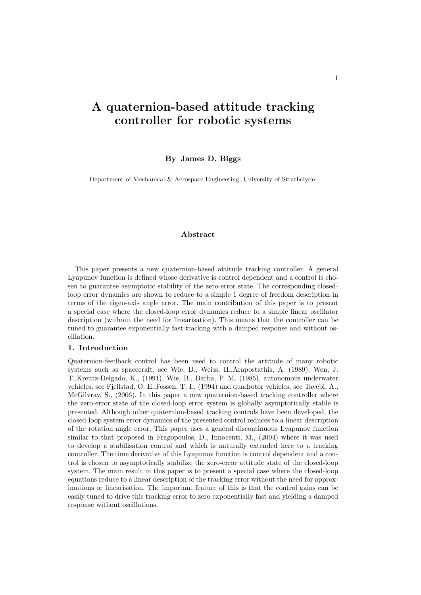# A quaternion-based attitude tracking controller for robotic systems

By James D. Biggs

Department of Mechanical & Aerospace Engineering, University of Strathclyde.

## Abstract

This paper presents a new quaternion-based attitude tracking controller. A general Lyapunov function is defined whose derivative is control dependent and a control is chosen to guarantee asymptotic stability of the zero-error state. The corresponding closedloop error dynamics are shown to reduce to a simple 1 degree of freedom description in terms of the eigen-axis angle error. The main contribution of this paper is to present a special case where the closed-loop error dynamics reduce to a simple linear oscillator description (without the need for linearisation). This means that the controller can be tuned to guarantee exponentially fast tracking with a damped response and without oscillation.

## 1. Introduction

Quaternion-feedback control has been used to control the attitude of many robotic systems such as spacecraft, see Wie, B., Weiss, H.,Arapostathis, A. (1989), Wen, J. T.,Kreutz-Delgado, K., (1991), Wie, B., Barba, P. M. (1985), autonomous underwater vehicles, see Fjellstad, O. E.,Fossen, T. I., (1994) and quadrotor vehicles, see Tayebi, A., McGilvray, S., (2006). In this paper a new quaternion-based tracking controller where the zero-error state of the closed-loop error system is globally asymptotically stable is presented. Although other quaternion-based tracking controls have been developed, the closed-loop system error dynamics of the presented control reduces to a linear description of the rotation angle error. This paper uses a general discontinuous Lyapunov function similar to that proposed in Fragopoulos, D., Innocenti, M., (2004) where it was used to develop a stabilisation control and which is naturally extended here to a tracking controller. The time derivative of this Lyapunov function is control dependent and a control is chosen to asymptotically stabilize the zero-error attitude state of the closed-loop system. The main result in this paper is to present a special case where the closed-loop equations reduce to a linear description of the tracking error without the need for approximations or linearisation. The important feature of this is that the control gains can be easily tuned to drive this tracking error to zero exponentially fast and yielding a damped response without oscillations.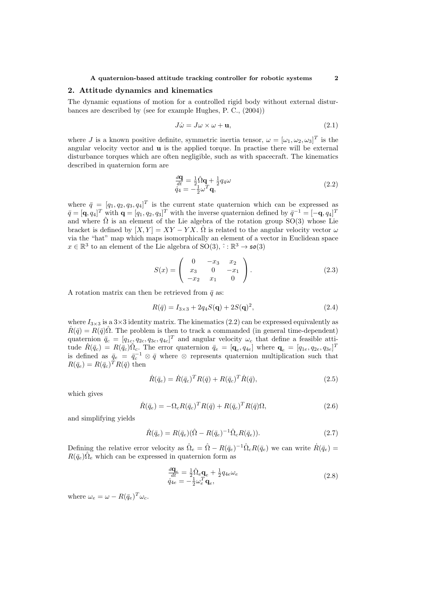#### A quaternion-based attitude tracking controller for robotic systems 2

## 2. Attitude dynamics and kinematics

The dynamic equations of motion for a controlled rigid body without external disturbances are described by (see for example Hughes, P. C., (2004))

$$
J\dot{\omega} = J\omega \times \omega + \mathbf{u},\tag{2.1}
$$

where J is a known positive definite, symmetric inertia tensor,  $\omega = [\omega_1, \omega_2, \omega_3]^T$  is the angular velocity vector and u is the applied torque. In practise there will be external disturbance torques which are often negligible, such as with spacecraft. The kinematics described in quaternion form are

$$
\frac{d\mathbf{q}}{dt} = \frac{1}{2}\hat{\Omega}\mathbf{q} + \frac{1}{2}q_4\omega
$$
  
\n
$$
\dot{q}_4 = -\frac{1}{2}\omega^T\mathbf{q},
$$
\n(2.2)

where  $\bar{q} = [q_1, q_2, q_3, q_4]^T$  is the current state quaternion which can be expressed as  $\bar{q} = [\mathbf{q}, q_4]^T$  with  $\mathbf{q} = [q_1, q_2, q_3]^T$  with the inverse quaternion defined by  $\bar{q}^{-1} = [-\mathbf{q}, q_4]^T$ and where  $\hat{\Omega}$  is an element of the Lie algebra of the rotation group SO(3) whose Lie bracket is defined by  $[X, Y] = XY - YX$ .  $\hat{\Omega}$  is related to the angular velocity vector  $\omega$ via the "hat" map which maps isomorphically an element of a vector in Euclidean space  $x \in \mathbb{R}^3$  to an element of the Lie algebra of  $SO(3)$ ,  $\hat{\cdot} : \mathbb{R}^3 \to \mathfrak{so}(3)$ 

$$
S(x) = \begin{pmatrix} 0 & -x_3 & x_2 \\ x_3 & 0 & -x_1 \\ -x_2 & x_1 & 0 \end{pmatrix}.
$$
 (2.3)

A rotation matrix can then be retrieved from  $\bar{q}$  as:

$$
R(\bar{q}) = I_{3 \times 3} + 2q_4 S(\mathbf{q}) + 2S(\mathbf{q})^2, \tag{2.4}
$$

where  $I_{3\times 3}$  is a  $3\times 3$  identity matrix. The kinematics (2.2) can be expressed equivalently as  $\dot{R}(\bar{q}) = R(\bar{q})\hat{\Omega}$ . The problem is then to track a commanded (in general time-dependent) quaternion  $\bar{q}_c = [q_{1c}, q_{2c}, q_{3c}, q_{4c}]^T$  and angular velocity  $\omega_c$  that define a feasible attitude  $R(\bar{q}_c) = R(\bar{q}_c)\hat{\Omega}_c$ . The error quaternion  $\bar{q}_e = [\mathbf{q}_e, q_{4e}]$  where  $\mathbf{q}_e = [q_{1e}, q_{2e}, q_{3e}]^T$ is defined as  $\bar{q}_e = \bar{q}_c^{-1} \otimes \bar{q}$  where  $\otimes$  represents quaternion multiplication such that  $R(\bar{q}_e) = R(\bar{q}_c)^T R(\bar{q})$  then

$$
\dot{R}(\bar{q}_e) = \dot{R}(\bar{q}_c)^T R(\bar{q}) + R(\bar{q}_c)^T \dot{R}(\bar{q}),
$$
\n(2.5)

which gives

$$
\dot{R}(\bar{q}_e) = -\Omega_c R(\bar{q}_c)^T R(\bar{q}) + R(\bar{q}_c)^T R(\bar{q}) \Omega, \qquad (2.6)
$$

and simplifying yields

$$
\dot{R}(\bar{q}_e) = R(\bar{q}_e)(\hat{\Omega} - R(\bar{q}_e)^{-1}\hat{\Omega}_c R(\bar{q}_e)).
$$
\n(2.7)

Defining the relative error velocity as  $\hat{\Omega}_e = \hat{\Omega} - R(\bar{q}_e)^{-1} \hat{\Omega}_c R(\bar{q}_e)$  we can write  $\dot{R}(\bar{q}_e)$  $R(\bar{q}_e) \hat{\Omega}_e$  which can be expressed in quaternion form as

$$
\frac{d\mathbf{q}_e}{dt} = \frac{1}{2}\hat{\Omega}_e \mathbf{q}_e + \frac{1}{2}q_{4e}\omega_e
$$
\n
$$
\dot{q}_{4e} = -\frac{1}{2}\omega_e^T \mathbf{q}_e,\tag{2.8}
$$

where  $\omega_e = \omega - R(\bar{q}_e)^T \omega_c$ .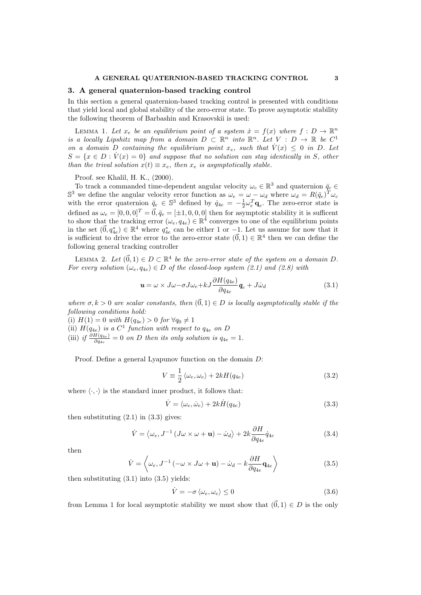## 3. A general quaternion-based tracking control

In this section a general quaternion-based tracking control is presented with conditions that yield local and global stability of the zero-error state. To prove asymptotic stability the following theorem of Barbashin and Krasovskii is used:

LEMMA 1. Let  $x_e$  be an equilibrium point of a system  $\dot{x} = f(x)$  where  $f: D \to \mathbb{R}^n$ is a locally Lipshitz map from a domain  $D \subset \mathbb{R}^n$  into  $\mathbb{R}^n$ . Let  $V : D \to \mathbb{R}$  be  $C^1$ on a domain D containing the equilibrium point  $x_e$ , such that  $V(x) \leq 0$  in D. Let  $S = \{x \in D : V(x) = 0\}$  and suppose that no solution can stay identically in S, other than the trival solution  $x(t) \equiv x_e$ , then  $x_e$  is asymptotically stable.

Proof. see Khalil, H. K., (2000).

To track a commanded time-dependent angular velocity  $\omega_c \in \mathbb{R}^3$  and quaternion  $\bar{q}_c$ S<sup>3</sup> we define the angular velocity error function as  $\omega_e = \omega - \omega_d$  where  $\omega_d = R(\bar{q}_e)^T \omega_c$ with the error quaternion  $\bar{q}_e \in \mathbb{S}^3$  defined by  $\dot{q}_{4e} = -\frac{1}{2}\omega_e^T \mathbf{q}_e$ . The zero-error state is defined as  $\omega_e = [0, 0, 0]^T = \vec{0}, \bar{q}_e = [\pm 1, 0, 0, 0]$  then for asymptotic stability it is sufficent to show that the tracking error  $(\omega_e, q_{4e}) \in \mathbb{R}^4$  converges to one of the equilibrium points in the set  $(\vec{0}, q_{4e}^*) \in \mathbb{R}^4$  where  $q_{4e}^*$  can be either 1 or  $-1$ . Let us assume for now that it is sufficient to drive the error to the zero-error state  $(\vec{0},1) \in \mathbb{R}^4$  then we can define the following general tracking controller

LEMMA 2. Let  $(\vec{0},1) \in D \subset \mathbb{R}^4$  be the zero-error state of the system on a domain D. For every solution  $(\omega_e, q_{4e}) \in D$  of the closed-loop system (2.1) and (2.8) with

$$
\mathbf{u} = \omega \times J\omega - \sigma J\omega_e + kJ \frac{\partial H(q_{4e})}{\partial q_{4e}} \mathbf{q}_e + J\dot{\omega}_d \tag{3.1}
$$

where  $\sigma, k > 0$  are scalar constants, then  $(\vec{0}, 1) \in D$  is locally asymptotically stable if the following conditions hold:

(i)  $H(1) = 0$  with  $H(q_{4e}) > 0$  for  $\forall q_0 \neq 1$ (ii)  $H(q_{4e})$  is a  $C^1$  function with respect to  $q_{4e}$  on D (iii) if  $\frac{\partial H(q_{4e})}{\partial q_{4e}} = 0$  on D then its only solution is  $q_{4e} = 1$ .

Proof. Define a general Lyapunov function on the domain D:

$$
V \equiv \frac{1}{2} \langle \omega_e, \omega_e \rangle + 2k H(q_{4e}) \tag{3.2}
$$

where  $\langle \cdot, \cdot \rangle$  is the standard inner product, it follows that:

$$
\dot{V} = \langle \omega_e, \dot{\omega}_e \rangle + 2k \dot{H} (q_{4e}) \tag{3.3}
$$

then substituting  $(2.1)$  in  $(3.3)$  gives:

$$
\dot{V} = \langle \omega_e, J^{-1} (J\omega \times \omega + \mathbf{u}) - \dot{\omega}_d \rangle + 2k \frac{\partial H}{\partial q_{4e}} \dot{q}_{4e}
$$
(3.4)

then

$$
\dot{V} = \left\langle \omega_e, J^{-1} \left( -\omega \times J \omega + \mathbf{u} \right) - \dot{\omega}_d - k \frac{\partial H}{\partial q_{4e}} \mathbf{q}_{4e} \right\rangle \tag{3.5}
$$

then substituting  $(3.1)$  into  $(3.5)$  yields:

$$
\dot{V} = -\sigma \langle \omega_e, \omega_e \rangle \le 0 \tag{3.6}
$$

from Lemma 1 for local asymptotic stability we must show that  $(\vec{0}, 1) \in D$  is the only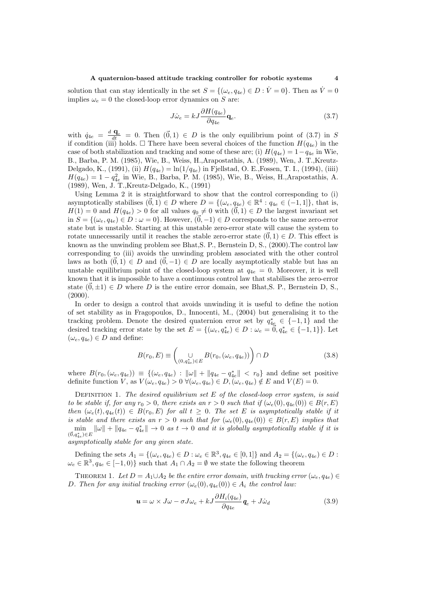#### A quaternion-based attitude tracking controller for robotic systems 4

solution that can stay identically in the set  $S = \{(\omega_e, q_{4e}) \in D : \dot{V} = 0\}$ . Then as  $\dot{V} = 0$ implies  $\omega_e = 0$  the closed-loop error dynamics on S are:

$$
J\dot{\omega}_e = kJ \frac{\partial H(q_{4e})}{\partial q_{4e}} \mathbf{q}_e.
$$
 (3.7)

with  $\dot{q}_{4e} = \frac{d \mathbf{q}_{e}}{dt} = 0$ . Then  $(\vec{0}, 1) \in D$  is the only equilibrium point of (3.7) in S if condition (iii) holds.  $\Box$  There have been several choices of the function  $H(q_{4e})$  in the case of both stabilization and tracking and some of these are; (i)  $H(q_{4e}) = 1-q_{4e}$  in Wie, B., Barba, P. M. (1985), Wie, B., Weiss, H.,Arapostathis, A. (1989), Wen, J. T.,Kreutz-Delgado, K., (1991), (ii)  $H(q_{4e}) = \ln(1/q_{4e})$  in Fjellstad, O. E., Fossen, T. I., (1994), (iiii)  $H(q_{4e}) = 1 - q_{4e}^2$  in Wie, B., Barba, P. M. (1985), Wie, B., Weiss, H.,Arapostathis, A. (1989), Wen, J. T.,Kreutz-Delgado, K., (1991)

Using Lemma 2 it is straightforward to show that the control corresponding to (i) asymptotically stabilises  $(\vec{0}, 1) \in D$  where  $D = \{(\omega_e, q_{4e}) \in \mathbb{R}^4 : q_{4e} \in (-1, 1]\},\$  that is,  $H(1) = 0$  and  $H(q_{4e}) > 0$  for all values  $q_0 \neq 0$  with  $(\vec{0}, 1) \in D$  the largest invariant set in  $S = \{(\omega_e, q_{4e}) \in D : \omega = 0\}$ . However,  $(\vec{0}, -1) \in D$  corresponds to the same zero-error state but is unstable. Starting at this unstable zero-error state will cause the system to rotate unnecessarily until it reaches the stable zero-error state  $(\vec{0}, 1) \in D$ . This effect is known as the unwinding problem see Bhat,S. P., Bernstein D, S., (2000).The control law corresponding to (iii) avoids the unwinding problem associated with the other control laws as both  $(\vec{0}, 1) \in D$  and  $(\vec{0}, -1) \in D$  are locally asymptotically stable but has an unstable equilibrium point of the closed-loop system at  $q_{4e} = 0$ . Moreover, it is well known that it is impossible to have a continuous control law that stabilises the zero-error state  $(0, \pm 1) \in D$  where D is the entire error domain, see Bhat, S. P., Bernstein D, S.,  $(2000).$ 

In order to design a control that avoids unwinding it is useful to define the notion of set stability as in Fragopoulos, D., Innocenti, M., (2004) but generalising it to the tracking problem. Denote the desired quaternion error set by  $q_{4e}^* \in \{-1,1\}$  and the desired tracking error state by the set  $E = \{(\omega_e, q_{4e}^*) \in D : \omega_e = 0, q_{4e}^* \in \{-1, 1\}\}\.$  Let  $(\omega_e, q_{4e}) \in D$  and define:

$$
B(r_0, E) \equiv \begin{pmatrix} \bigcup_{(0, q_{4e}^*) \in E} B(r_0, (\omega_e, q_{4e})) \end{pmatrix} \cap D \tag{3.8}
$$

where  $B(r_0, (\omega_e, q_{4e})) \equiv \{(\omega_e, q_{4e}) : ||\omega|| + ||q_{4e} - q_{4e}^*|| < r_0\}$  and define set positive definite function V, as  $V(\omega_e, q_{4e}) > 0 \ \forall (\omega_e, q_{4e}) \in D, (\omega_e, q_{4e}) \notin E$  and  $V(E) = 0$ .

DEFINITION 1. The desired equilibrium set  $E$  of the closed-loop error system, is said to be stable if, for any  $r_0 > 0$ , there exists an  $r > 0$  such that if  $(\omega_e(0), q_{4e}(0)) \in B(r, E)$ then  $(\omega_e(t), q_{4e}(t)) \in B(r_0, E)$  for all  $t \geq 0$ . The set E is asymptotically stable if it is stable and there exists an  $r > 0$  such that for  $(\omega_e(0), q_{4e}(0)) \in B(r, E)$  implies that  $\min_{(\vec{0},q_{4e}^*)\in E} ||\omega|| + ||q_{4e} - q_{4e}^*|| \to 0 \text{ as } t \to 0 \text{ and it is globally asymptotically stable if it is.}$ asymptotically stable for any given state.

Defining the sets  $A_1 = \{(\omega_e, q_{4e}) \in D : \omega_e \in \mathbb{R}^3, q_{4e} \in [0,1]\}$  and  $A_2 = \{(\omega_e, q_{4e}) \in D : \omega_e \in \mathbb{R}^3, q_{4e} \in [0,1]\}$  $\omega_e \in \mathbb{R}^3, q_{4e} \in [-1,0) \}$  such that  $A_1 \cap A_2 = \emptyset$  we state the following theorem

THEOREM 1. Let  $D = A_1 \cup A_2$  be the entire error domain, with tracking error  $(\omega_e, q_{4e}) \in$ D. Then for any initial tracking error  $(\omega_e(0), q_{4e}(0)) \in A_i$  the control law:

$$
\mathbf{u} = \omega \times J\omega - \sigma J\omega_e + kJ \frac{\partial H_i(q_{4e})}{\partial q_{4e}} \mathbf{q}_e + J\dot{\omega}_d
$$
 (3.9)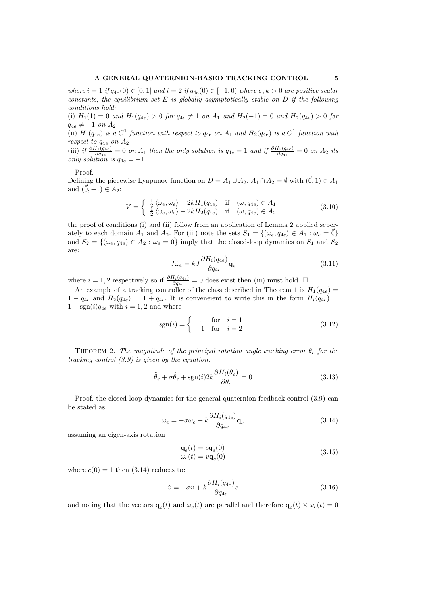## A GENERAL QUATERNION-BASED TRACKING CONTROL 5

where  $i = 1$  if  $q_{4e}(0) \in [0, 1]$  and  $i = 2$  if  $q_{4e}(0) \in [-1, 0)$  where  $\sigma, k > 0$  are positive scalar constants, the equilibrium set  $E$  is globally asymptotically stable on  $D$  if the following conditions hold:

(i)  $H_1(1) = 0$  and  $H_1(q_{4e}) > 0$  for  $q_{4e} \neq 1$  on  $A_1$  and  $H_2(-1) = 0$  and  $H_2(q_{4e}) > 0$  for  $q_{4e} \neq -1$  on  $A_2$ 

(ii)  $H_1(q_{4e})$  is a  $C^1$  function with respect to  $q_{4e}$  on  $A_1$  and  $H_2(q_{4e})$  is a  $C^1$  function with respect to  $q_{4e}$  on  $A_2$ 

(iii) if  $\frac{\partial H_1(q_{4e})}{\partial q_{4e}} = 0$  on  $A_1$  then the only solution is  $q_{4e} = 1$  and if  $\frac{\partial H_2(q_{4e})}{\partial q_{4e}} = 0$  on  $A_2$  its only solution is  $q_{4e} = -1$ .

#### Proof.

Defining the piecewise Lyapunov function on  $D = A_1 \cup A_2$ ,  $A_1 \cap A_2 = \emptyset$  with  $(\vec{0}, 1) \in A_1$ and  $(\vec{0}, -1) \in A_2$ :

$$
V = \begin{cases} \frac{1}{2} \langle \omega_e, \omega_e \rangle + 2k H_1(q_{4e}) & \text{if } (\omega, q_{4e}) \in A_1\\ \frac{1}{2} \langle \omega_e, \omega_e \rangle + 2k H_2(q_{4e}) & \text{if } (\omega, q_{4e}) \in A_2 \end{cases}
$$
(3.10)

the proof of conditions (i) and (ii) follow from an application of Lemma 2 applied seperately to each domain  $A_1$  and  $A_2$ . For (iii) note the sets  $S_1 = \{(\omega_e, q_{4e}) \in A_1 : \omega_e = \vec{0}\}\$ and  $S_2 = \{(\omega_e, q_{4e}) \in A_2 : \omega_e = \vec{0}\}\$ imply that the closed-loop dynamics on  $S_1$  and  $S_2$ are:

$$
J\dot{\omega}_e = kJ \frac{\partial H_i(q_{4e})}{\partial q_{4e}} \mathbf{q}_e
$$
\n(3.11)

where  $i = 1, 2$  respectively so if  $\frac{\partial H_i(q_{4e})}{\partial q_{4e}} = 0$  does exist then (iii) must hold. □

An example of a tracking controller of the class described in Theorem 1 is  $H_1(q_{4e}) =$  $1 - q_{4e}$  and  $H_2(q_{4e}) = 1 + q_{4e}$ . It is conveneient to write this in the form  $H_i(q_{4e}) =$  $1 - \text{sgn}(i)q_{4e}$  with  $i = 1, 2$  and where

$$
sgn(i) = \begin{cases} 1 & \text{for } i = 1 \\ -1 & \text{for } i = 2 \end{cases}
$$
 (3.12)

THEOREM 2. The magnitude of the principal rotation angle tracking error  $\theta_e$  for the tracking control  $(3.9)$  is given by the equation:

$$
\ddot{\theta}_e + \sigma \dot{\theta}_e + \text{sgn}(i) 2k \frac{\partial H_i(\theta_e)}{\partial \theta_e} = 0 \tag{3.13}
$$

Proof. the closed-loop dynamics for the general quaternion feedback control (3.9) can be stated as:

$$
\dot{\omega}_e = -\sigma \omega_e + k \frac{\partial H_i(q_{4e})}{\partial q_{4e}} \mathbf{q}_e
$$
\n(3.14)

assuming an eigen-axis rotation

$$
\mathbf{q}_e(t) = c\mathbf{q}_e(0) \n\omega_e(t) = v\mathbf{q}_e(0)
$$
\n(3.15)

where  $c(0) = 1$  then  $(3.14)$  reduces to:

$$
\dot{v} = -\sigma v + k \frac{\partial H_i(q_{4e})}{\partial q_{4e}} c \tag{3.16}
$$

and noting that the vectors  $\mathbf{q}_e(t)$  and  $\omega_e(t)$  are parallel and therefore  $\mathbf{q}_e(t) \times \omega_e(t) = 0$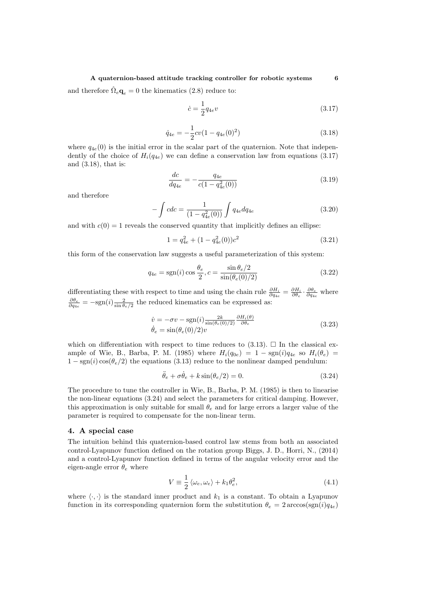## A quaternion-based attitude tracking controller for robotic systems 6

and therefore  $\hat{\Omega}_e \mathbf{q}_e = 0$  the kinematics (2.8) reduce to:

$$
\dot{c} = \frac{1}{2}q_{4e}v\tag{3.17}
$$

$$
\dot{q}_{4e} = -\frac{1}{2}cv(1 - q_{4e}(0)^2)
$$
\n(3.18)

where  $q_{4e}(0)$  is the initial error in the scalar part of the quaternion. Note that independently of the choice of  $H_i(q_{4e})$  we can define a conservation law from equations (3.17) and (3.18), that is:

$$
\frac{dc}{dq_{4e}} = -\frac{q_{4e}}{c(1 - q_{4e}^2(0))}
$$
(3.19)

and therefore

$$
-\int cdc = \frac{1}{(1 - q_{4e}^2(0))} \int q_{4e} dq_{4e}
$$
\n(3.20)

and with  $c(0) = 1$  reveals the conserved quantity that implicitly defines an ellipse:

$$
1 = q_{4e}^2 + (1 - q_{4e}^2(0))c^2
$$
\n(3.21)

this form of the conservation law suggests a useful parameterization of this system:

$$
q_{4e} = \text{sgn}(i)\cos\frac{\theta_e}{2}, c = \frac{\sin\theta_e/2}{\sin(\theta_e(0)/2)}
$$
(3.22)

differentiating these with respect to time and using the chain rule  $\frac{\partial H_i}{\partial q_{4e}} = \frac{\partial H_i}{\partial \theta_e} \cdot \frac{\partial \theta_e}{\partial q_{4e}}$  where  $\frac{\partial \theta_e}{\partial q_{4e}} = -\text{sgn}(i) \frac{2}{\sin \theta_e/2}$  the reduced kinematics can be expressed as:

$$
\dot{v} = -\sigma v - \text{sgn}(i) \frac{2k}{\sin(\theta_e(0)/2)} \frac{\partial H_i(\theta)}{\partial \theta_e}
$$
\n
$$
\dot{\theta}_e = \sin(\theta_e(0)/2)v
$$
\n(3.23)

which on differentiation with respect to time reduces to  $(3.13)$ .  $\Box$  In the classical example of Wie, B., Barba, P. M. (1985) where  $H_i(q_{0e}) = 1 - \text{sgn}(i)q_{4e}$  so  $H_i(\theta_e)$  $1 - \text{sgn}(i) \cos(\theta_e/2)$  the equations (3.13) reduce to the nonlinear damped pendulum:

$$
\ddot{\theta}_e + \sigma \dot{\theta}_e + k \sin(\theta_e/2) = 0. \tag{3.24}
$$

The procedure to tune the controller in Wie, B., Barba, P. M. (1985) is then to linearise the non-linear equations (3.24) and select the parameters for critical damping. However, this approximation is only suitable for small  $\theta_e$  and for large errors a larger value of the parameter is required to compensate for the non-linear term.

## 4. A special case

The intuition behind this quaternion-based control law stems from both an associated control-Lyapunov function defined on the rotation group Biggs, J. D., Horri, N., (2014) and a control-Lyapunov function defined in terms of the angular velocity error and the eigen-angle error  $\theta_e$  where

$$
V \equiv \frac{1}{2} \langle \omega_e, \omega_e \rangle + k_1 \theta_e^2, \tag{4.1}
$$

where  $\langle \cdot, \cdot \rangle$  is the standard inner product and  $k_1$  is a constant. To obtain a Lyapunov function in its corresponding quaternion form the substitution  $\theta_e = 2 \arccos(\text{sgn}(i)q_{4e})$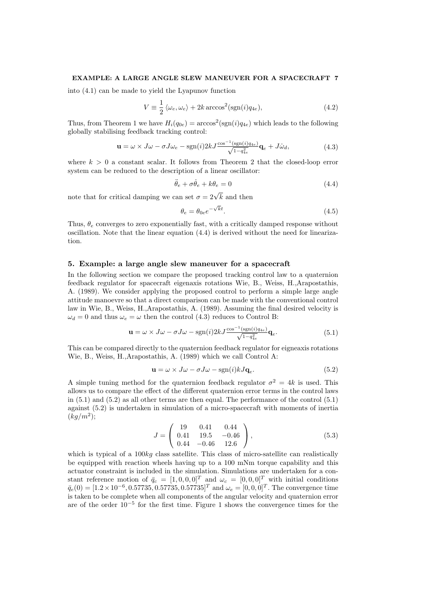## EXAMPLE: A LARGE ANGLE SLEW MANEUVER FOR A SPACECRAFT 7

into (4.1) can be made to yield the Lyapunov function

$$
V = \frac{1}{2} \langle \omega_e, \omega_e \rangle + 2k \arccos^2(\text{sgn}(i)q_{4e}), \qquad (4.2)
$$

Thus, from Theorem 1 we have  $H_i(q_{0e}) = \arccos^2(\text{sgn}(i)q_{4e})$  which leads to the following globally stabilising feedback tracking control:

$$
\mathbf{u} = \omega \times J\omega - \sigma J\omega_e - \text{sgn}(i)2kJ \frac{\cos^{-1}(\text{sgn}(i)q_{4e})}{\sqrt{1 - q_{4e}^2}} \mathbf{q}_e + J\dot{\omega}_d, \tag{4.3}
$$

where  $k > 0$  a constant scalar. It follows from Theorem 2 that the closed-loop error system can be reduced to the description of a linear oscillator:

$$
\ddot{\theta}_e + \sigma \dot{\theta}_e + k\theta_e = 0 \tag{4.4}
$$

note that for critical damping we can set  $\sigma = 2\sqrt{k}$  and then

$$
\theta_e = \theta_{0e} e^{-\sqrt{k}t}.\tag{4.5}
$$

Thus,  $\theta_e$  converges to zero exponentially fast, with a critically damped response without oscillation. Note that the linear equation (4.4) is derived without the need for linearization.

## 5. Example: a large angle slew maneuver for a spacecraft

In the following section we compare the proposed tracking control law to a quaternion feedback regulator for spacecraft eigenaxis rotations Wie, B., Weiss, H.,Arapostathis, A. (1989). We consider applying the proposed control to perform a simple large angle attitude manoevre so that a direct comparison can be made with the conventional control law in Wie, B., Weiss, H.,Arapostathis, A. (1989). Assuming the final desired velocity is  $\omega_d = 0$  and thus  $\omega_e = \omega$  then the control (4.3) reduces to Control B:

$$
\mathbf{u} = \omega \times J\omega - \sigma J\omega - \text{sgn}(i)2kJ\frac{\cos^{-1}(\text{sgn}(i)q_{4e})}{\sqrt{1-q_{4e}^2}}\mathbf{q}_e.
$$
 (5.1)

This can be compared directly to the quaternion feedback regulator for eigneaxis rotations Wie, B., Weiss, H.,Arapostathis, A. (1989) which we call Control A:

$$
\mathbf{u} = \omega \times J\omega - \sigma J\omega - \text{sgn}(i)kJ\mathbf{q}_e.
$$
 (5.2)

A simple tuning method for the quaternion feedback regulator  $\sigma^2 = 4k$  is used. This allows us to compare the effect of the different quaternion error terms in the control laws in (5.1) and (5.2) as all other terms are then equal. The performance of the control (5.1) against (5.2) is undertaken in simulation of a micro-spacecraft with moments of inertia  $(kg/m^2);$ 

$$
J = \begin{pmatrix} 19 & 0.41 & 0.44 \\ 0.41 & 19.5 & -0.46 \\ 0.44 & -0.46 & 12.6 \end{pmatrix},
$$
(5.3)

which is typical of a  $100ka$  class satellite. This class of micro-satellite can realistically be equipped with reaction wheels having up to a 100 mNm torque capability and this actuator constraint is included in the simulation. Simulations are undertaken for a constant reference motion of  $\bar{q}_c = [1, 0, 0, 0]^T$  and  $\omega_c = [0, 0, 0]^T$  with initial conditions  $\bar{q}_e(0) = [1.2 \times 10^{-6}, 0.57735, 0.57735, 0.57735]^T$  and  $\omega_e = [0, 0, 0]^T$ . The convergence time is taken to be complete when all components of the angular velocity and quaternion error are of the order 10<sup>−</sup><sup>5</sup> for the first time. Figure 1 shows the convergence times for the